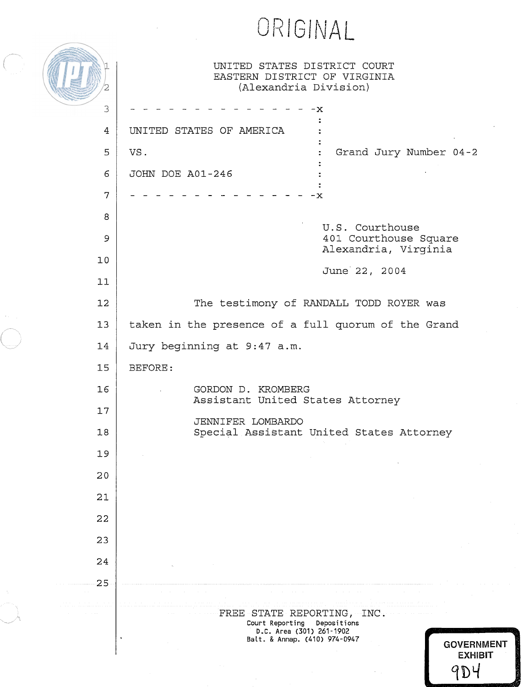ORIGINAL

| UNITED STATES DISTRICT COURT |  |  |
|------------------------------|--|--|
| EASTERN DISTRICT OF VIRGINIA |  |  |
| (Alexandria Division)        |  |  |

 $\label{eq:2} \bigcap_{i=1}^n$ 

 $\langle \cdot \rangle$ 

(<br>......

 $\left(\prod_{i=1}^n\right)_{2}$ 

| 3  | -x                                                                                                                                                                                                                                                                                                                                                                                                                                                                                                                                                                                                                                                                                                                                                  |  |  |  |
|----|-----------------------------------------------------------------------------------------------------------------------------------------------------------------------------------------------------------------------------------------------------------------------------------------------------------------------------------------------------------------------------------------------------------------------------------------------------------------------------------------------------------------------------------------------------------------------------------------------------------------------------------------------------------------------------------------------------------------------------------------------------|--|--|--|
| 4  | UNITED STATES OF AMERICA                                                                                                                                                                                                                                                                                                                                                                                                                                                                                                                                                                                                                                                                                                                            |  |  |  |
| 5  | Grand Jury Number 04-2<br>VS.                                                                                                                                                                                                                                                                                                                                                                                                                                                                                                                                                                                                                                                                                                                       |  |  |  |
| 6  | JOHN DOE A01-246                                                                                                                                                                                                                                                                                                                                                                                                                                                                                                                                                                                                                                                                                                                                    |  |  |  |
| 7  | - x                                                                                                                                                                                                                                                                                                                                                                                                                                                                                                                                                                                                                                                                                                                                                 |  |  |  |
| 8  |                                                                                                                                                                                                                                                                                                                                                                                                                                                                                                                                                                                                                                                                                                                                                     |  |  |  |
| 9  | U.S. Courthouse<br>401 Courthouse Square                                                                                                                                                                                                                                                                                                                                                                                                                                                                                                                                                                                                                                                                                                            |  |  |  |
| 10 | Alexandria, Virginia<br>June 22, 2004                                                                                                                                                                                                                                                                                                                                                                                                                                                                                                                                                                                                                                                                                                               |  |  |  |
| 11 |                                                                                                                                                                                                                                                                                                                                                                                                                                                                                                                                                                                                                                                                                                                                                     |  |  |  |
| 12 | The testimony of RANDALL TODD ROYER was                                                                                                                                                                                                                                                                                                                                                                                                                                                                                                                                                                                                                                                                                                             |  |  |  |
| 13 | taken in the presence of a full quorum of the Grand                                                                                                                                                                                                                                                                                                                                                                                                                                                                                                                                                                                                                                                                                                 |  |  |  |
| 14 | Jury beginning at 9:47 a.m.                                                                                                                                                                                                                                                                                                                                                                                                                                                                                                                                                                                                                                                                                                                         |  |  |  |
| 15 | BEFORE:                                                                                                                                                                                                                                                                                                                                                                                                                                                                                                                                                                                                                                                                                                                                             |  |  |  |
| 16 | GORDON D. KROMBERG<br>Assistant United States Attorney                                                                                                                                                                                                                                                                                                                                                                                                                                                                                                                                                                                                                                                                                              |  |  |  |
| 17 |                                                                                                                                                                                                                                                                                                                                                                                                                                                                                                                                                                                                                                                                                                                                                     |  |  |  |
| 18 | JENNIFER LOMBARDO<br>Special Assistant United States Attorney                                                                                                                                                                                                                                                                                                                                                                                                                                                                                                                                                                                                                                                                                       |  |  |  |
| 19 |                                                                                                                                                                                                                                                                                                                                                                                                                                                                                                                                                                                                                                                                                                                                                     |  |  |  |
| 20 |                                                                                                                                                                                                                                                                                                                                                                                                                                                                                                                                                                                                                                                                                                                                                     |  |  |  |
| 21 |                                                                                                                                                                                                                                                                                                                                                                                                                                                                                                                                                                                                                                                                                                                                                     |  |  |  |
| 22 |                                                                                                                                                                                                                                                                                                                                                                                                                                                                                                                                                                                                                                                                                                                                                     |  |  |  |
| 23 |                                                                                                                                                                                                                                                                                                                                                                                                                                                                                                                                                                                                                                                                                                                                                     |  |  |  |
| 24 |                                                                                                                                                                                                                                                                                                                                                                                                                                                                                                                                                                                                                                                                                                                                                     |  |  |  |
| 25 |                                                                                                                                                                                                                                                                                                                                                                                                                                                                                                                                                                                                                                                                                                                                                     |  |  |  |
|    | $\label{eq:1} \begin{array}{ll} \left\langle \frac{1}{2\pi} \right\rangle \left\langle \frac{1}{2\pi} \right\rangle \left\langle \frac{1}{2\pi} \right\rangle \left\langle \frac{1}{2\pi} \right\rangle \left\langle \frac{1}{2\pi} \right\rangle \left\langle \frac{1}{2\pi} \right\rangle \left\langle \frac{1}{2\pi} \right\rangle \left\langle \frac{1}{2\pi} \right\rangle \left\langle \frac{1}{2\pi} \right\rangle \left\langle \frac{1}{2\pi} \right\rangle \left\langle \frac{1}{2\pi} \right\rangle \left\langle \frac{1}{2\pi} \right\rangle \left$<br>FREE STATE REPORTING, INC.<br>Court Reporting<br>Depositions<br>D.C. Area (301) 261-1902<br>Balt. & Annap. (410) 974-0947<br>$\pmb{\cdot}$<br><b>GOVERNMENT</b><br><b>EXHIBIT</b> |  |  |  |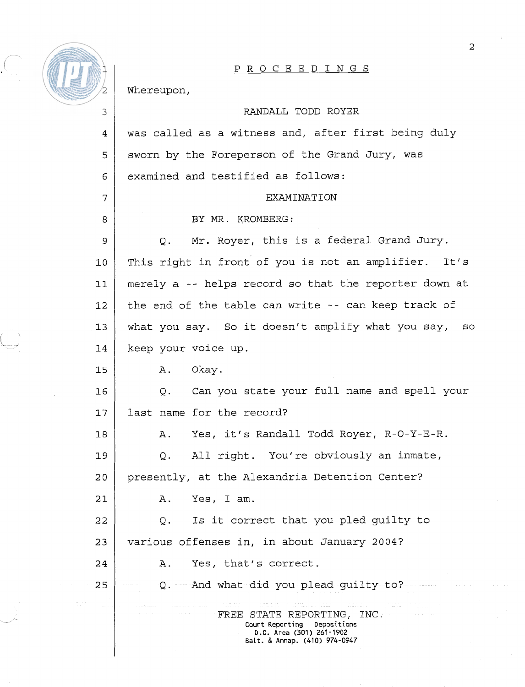

 $\overline{4}$ 

5

6

 $\overline{7}$ 

8

## PROCEEDINGS

Whereupon,

## RANDALL TODD ROYER

was called as a witness and, after first being duly sworn by the Foreperson of the Grand Jury, was examined and testified as follows:

## EXAMINATION

BY MR. KROMBERG:

Q. Mr. Royer, this is a federal Grand Jury.  $\mathbf{Q}$ This right in front of you is not an amplifier. It's  $10$ merely a -- helps record so that the reporter down at  $11$ the end of the table can write -- can keep track of  $12.$ what you say. So it doesn't amplify what you say, so  $13$  $14$ keep your voice up.

A. Okay.  $15$ 

Q. Can you state your full name and spell your  $16$ last name for the record?  $17$ 

A. Yes, it's Randall Todd Royer, R-0-Y-E-R.  $18$ Q. All right. You're obviously an inmate, 19  $20$ presently, at the Alexandria Detention Center?

 $21$ A. Yes, Iam.

Q. Is it correct that you pled guilty to  $22$ 23 various offenses in, in about January 2004? 24

A. Yes, that's correct.

Q. And what did you plead guilty to? 25

> FREE STATE REPORTING, INC. **Court Reporting Depositions D.C. Area (301) 261-1902 Balt.** & **Annap. (410) 974-0947**

 $\overline{2}$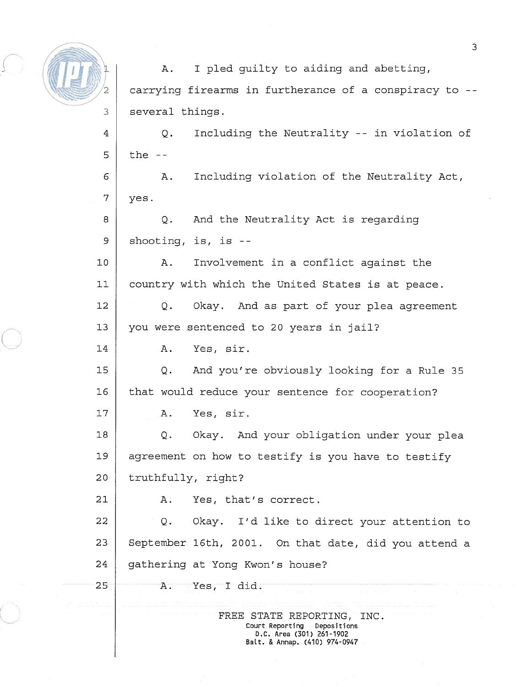

A. I pled quilty to aiding and abetting, carrying firearms in furtherance of a conspiracy to - several things.

 $\overline{4}$ Q. Including the Neutrality -- in violation of 5 the  $-$ 

A. Including violation of the Neutrality Act, 6 7 yes.

Q. And the Neutrality Act is regarding 8 9 shooting, is, is --

 $10$ A. Involvement in a conflict against the  $11$ country with which the United States is at peace. Q. Okay. And as part of your plea agreement  $12.$ 

you were sentenced to 20 years in jail?  $13$ 

A. Yes, sir.

 $1.5$ Q. And you're obviously looking for a Rule 35  $16$ that would reduce your sentence for cooperation?

A. Yes, sir.

 $18$ Q. Okay. And your obligation under your plea agreement on how to testify is you have to testify 19  $2.0$ truthfully, right?

A. Yes, that's correct.

22 Q. Okay. I'd like to direct your attention to 23 September 16th, 2001. On that date, did you attend a 24 gathering at Yong Kwon's house?

25

14

 $17$ 

21

A. Yes, I did.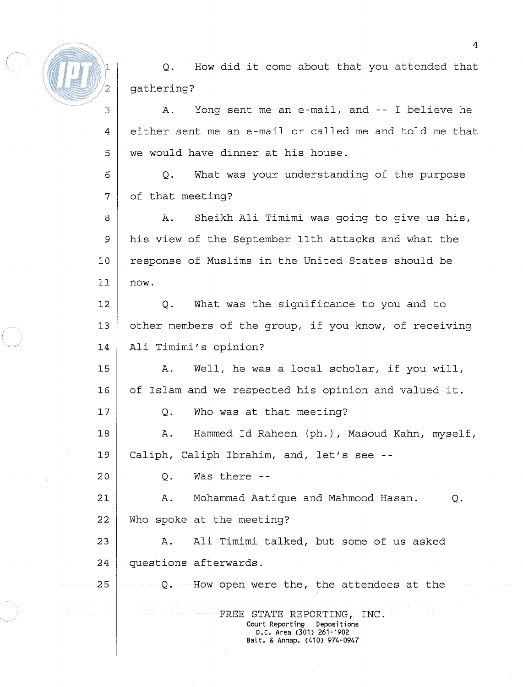

 $\overline{4}$ 

5

 $17$ 

 $20$ 

 $25$ 

Q. How did it come about that you attended that gathering?

A. Yong sent me an e-mail, and -- I believe he either sent me an e-mail or called me and told me that we would have dinner at his house.

Q. What was your understanding of the purpose 6 7 of that meeting?

A. Sheikh Ali Timimi was going to give us his, 8 9 his view of the September 11th attacks and what the response of Muslims in the United States should be  $10$  $71$ now.

Q. What was the significance to you and to  $12$ other members of the group, if you know, of receiving  $13$ Ali Timimi's opinion? 14

15 A. Well, he was a local scholar, if you will,  $16$ of Islam and we respected his opinion and valued it.

Q. Who was at that meeting?

 $18$ A. Hammed Id Raheen (ph.), Masoud Kahn, myself, Caliph, Caliph Ibrahim, and, let's see -- 19

**Q.** Was there --

 $2.1$ A. Mohammad Aatique and Mahmood Hasan. Q. 22 Who spoke at the meeting?

23 A. Ali Timimi talked, but some of us asked 24 questions afterwards.

Q. How open were the, the attendees at the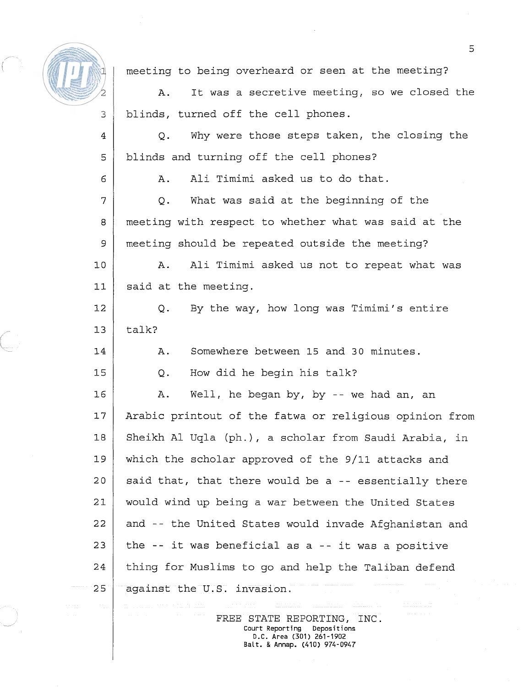

6

 $14$ 

15

meeting to being overheard or seen at the meeting?

A. It was a secretive meeting, so we closed the blinds, turned off the cell phones.

Q. Why were those steps taken, the closing the blinds and turning off the cell phones? 5

A. Ali Timimi asked us to do that.

Q. What was said at the beginning of the 7 meeting with respect to whether what was said at the 8 9 meeting should be repeated outside the meeting?

 $10$ A. Ali Timimi asked us not to repeat what was said at the meeting.  $11$ 

Q. By the way, how long was Timimi's entire 12 talk?  $13$ 

A. Somewhere between 15 and 30 minutes.

Q. How did he begin his talk?

16 A. Well, he began by, by -- we had an, an  $17$ Arabic printout of the fatwa or religious opinion from Sheikh A1 Uqla (ph.), a scholar from Saudi Arabia, in 18 19 which the scholar approved of the 9/11 attacks and  $20$ said that, that there would be a -- essentially there would wind up being a war between the United States 21 22 and -- the United States would invade Afghanistan and 23 the -- it was beneficial as a -- it was a positive thing for Muslims to go and help the Taliban defend 24 25 against the U.S. invasion.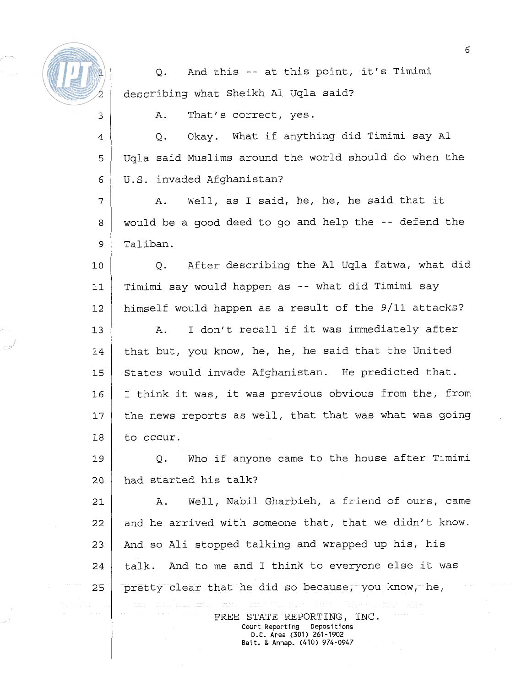

 $\overline{4}$ 

Q. And this -- at this point, it's Timimi describing what Sheikh A1 Uqla said?

A. That's correct, yes.

Q. Okay. What if anything did Timimi say A1 Uqla said Muslims around the world should do when the 5 U.S. invaded Afghanistan? 6

 $\overline{7}$ A. Well, as I said, he, he, he said that it would be a good deed to go and help the -- defend the  $\mathbf{8}$ 9 Taliban.

Q. After describing the A1 Uqla fatwa, what did  $10$ Timimi say would happen as -- what did Timimi say  $11$  $12$ himself would happen as a result of the 9/11 attacks?

A. I don't recall if it was immediately after  $13$ that but, you know, he, he, he said that the United 14 15 States would invade Afghanistan. He predicted that. I think it was, it was previous obvious from the, from 16  $17$ the news reports as well, that that was what was going  $18$ to occur.

19 Q. Who if anyone came to the house after Timimi  $20$ had started his talk?

A. Well, Nabil Gharbieh, a friend of ours, came  $21$ and he arrived with someone that, that we didn't know.  $2.2$ And so Ali stopped talking and wrapped up his, his 23 talk. And to me and I think to everyone else it was  $2.4$  $25$ pretty clear that he did so because, you know, he,

> FREE STATE REPORTING, INC.<br>
> court Reporting Depositions **Court Reporting D.C. Area (301)** 261-1902 **Balt.** & **Annap.** (410) 974-0947

 $\overline{6}$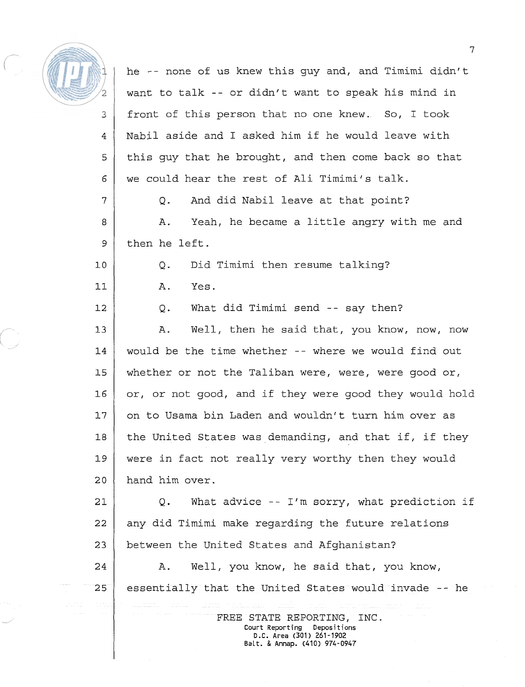

he -- none of us knew this guy and, and Timimi didn't want to talk -- or didn't want to speak his mind in front of this person that no one knew.. So, I took 3 Nabil aside and I asked him if he would leave with  $\overline{4}$ 5 this guy that he brought, and then come back so that we could hear the rest of Ali Timimi's talk. 6  $\overline{7}$ Q. And did Nabil leave at that point? A. Yeah, he became a little angry with me and 8 then he left. 9  $10$ **Q.** Did Timimi then resume talking? A. Yes.  $11$ Q. What did Timimi send -- say then?  $12.$ A. Well, then he said that, you know, now, now 13 would be the time whether -- where we would find out  $14$ whether or not the Taliban were, were, were good or, 15 16 or, or not good, and if they were good they would hold  $77$ on to Usama bin Laden and wouldn't turn him over as  $18$ the United States was demanding, and that if, if they were in fact not really very worthy then they would 19 hand him over.  $20$ Q. What advice -- I'm sorry, what prediction if  $2.1$ any did Timimi make regarding the future relations  $2.2.$ between the United States and Afghanistan? 23 24 A. Well, you know, he said that, you know,  $25$ essentially that the United States would invade -- he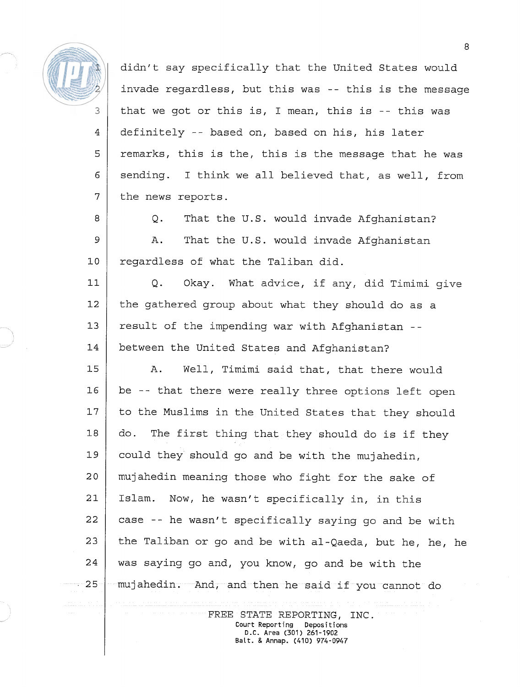

5

6

7

didn't say specifically that the United States would invade regardless, but this was -- this is the message that we got or this is, I mean, this is -- this was definitely -- based on, based on his, his later remarks, this is the, this is the message that he was sending. I think we all believed that, as well, from the news reports.

8 Q. That the U.S. would invade Afghanistan? 9 A. That the U.S. would invade Afghanistan regardless of what the Taliban did.  $10$ 

 $11$ Q. Okay. What advice, if any, did Timimi give  $12$ the gathered group about what they should do as a  $13$ result of the impending war with Afghanistan -- 14 between the United States and Afghanistan?

 $15$ A. Well, Timimi said that, that there would be -- that there were really three options left open 16  $17$ to the Muslims in the United States that they should  $18$ do. The first thing that they should do is if they could they should go and be with the mujahedin, 19 20 mujahedin meaning those who fight for the sake of Islam. Now, he wasn't specifically in, in this  $21$ 22 case -- he wasn't specifically saying go and be with 23 the Taliban or go and be with al-Qaeda, but he, he, he 24 was saying go and, you know, go and be with the  $25$ mujahedin. And, and then he said if you cannot do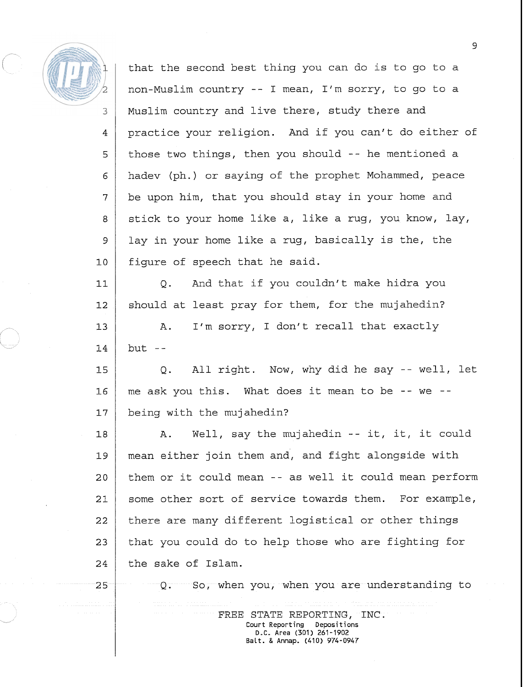

5

6

7

8

9

 $10$ 

 $25$ 

that the second best thing you can do is to go to a non-Muslim country -- I mean, I'm sorry, to go to a Muslim country and live there, study there and practice your religion. And if you can't do either of those two things, then you should -- he mentioned a hadev (ph.) or saying of the prophet Mohammed, peace be upon him, that you should stay in your home and stick to your home like a, like a rug, you know, lay, lay in your home like a rug, basically is the, the figure of speech that he said.

Q. And that if you couldn't make hidra you  $11$ should at least pray for them, for the mujahedin?  $12$ A. I'm sorry, I don't recall that exactly  $13$  $14$ but  $-$ 

15 Q. All right. Now, why did he say -- well, let me ask you this. What does it mean to be -- we --  $16$ being with the mujahedin?  $17$ 

A. Well, say the mujahedin -- it, it, it could  $18$ mean either join them and, and fight alongside with 19  $2.0$ them or it could mean -- as well it could mean perform some other sort of service towards them. For example,  $21$ there are many different logistical or other things 22 that you could do to help those who are fighting for 23 the sake of Islam. 24

Q. So, when you, when you are understanding to

FREE STATE REPORTING, INC.<br>Court Reporting Depositions **Court Reporting D.C. Area** (301) 261-1902 **Balt.** & **Annap.** (410) 974-0947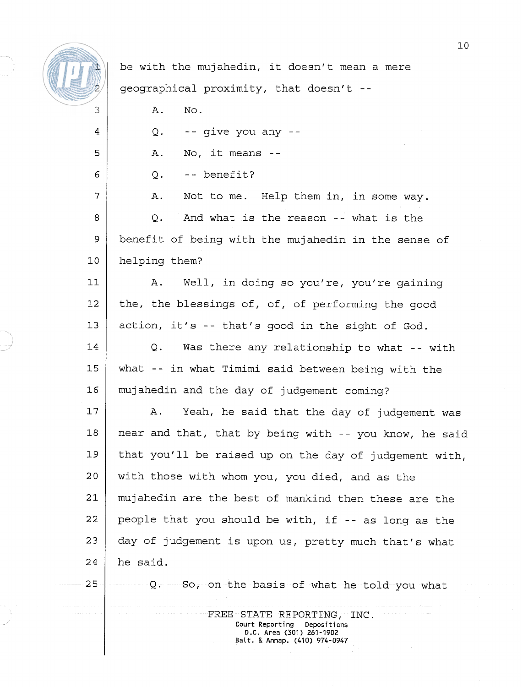

 $25$ 

be with the mujahedin, it doesn't mean a mere geographical proximity, that doesn't -- A. No.  $\overline{a}$  $Q$ . -- qive you any --A. No, it means -- 5  $0. - -$  benefit? 6  $\overline{7}$ A. Not to me. Help them in, in some way. Q. And what is the reason -- what is the 8 9 benefit of being with the mujahedin in the sense of  $10$ helping them?  $11$ A. Well, in doing so you're, you're gaining  $12$ the, the blessings of, of, of performing the good  $13$ action, it's -- that's good in the sight of God.  $14$ Q. Was there any relationship to what -- with what -- in what Timimi said between being with the 15 16 mujahedin and the day of judgement coming? A. Yeah, he said that the day of judgement was  $17$ near and that, that by being with -- you know, he said 18 19 that you'll be raised up on the day of judgement with, with those with whom you, you died, and as the 20 21 mujahedin are the best of mankind then these are the people that you should be with, if -- as long as the 22 23 day of judgement is upon us, pretty much that's what he said. Q. So, on the basis of what he told you what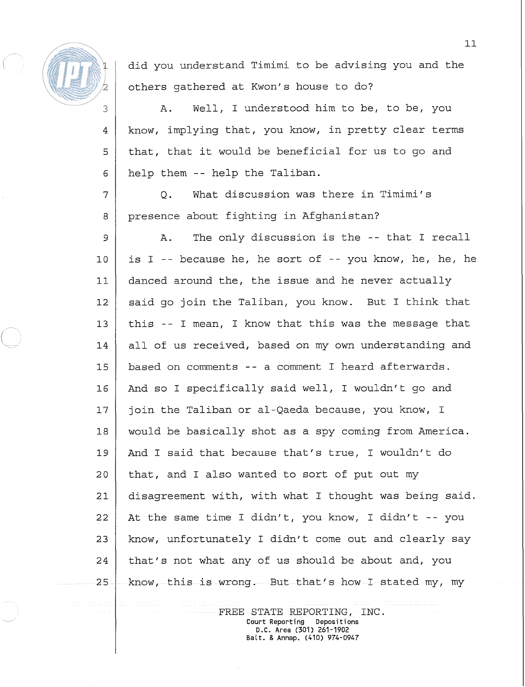

 $\overline{4}$ 

 $\overline{5}$ 

6

did you understand Timimi to be advising you and the others gathered at Kwon's house to do?

A. Well, I understood him to be, to be, you know, implying that, you know, in pretty clear terms that, that it would be beneficial for us to go and help them -- help the Taliban.

Q. What discussion was there in Timimi's 7 presence about fighting in Afghanistan?  $\mathsf{B}$ 

A. The only discussion is the -- that I recall 9  $10$ is I -- because he, he sort of -- you know, he, he, he  $11$ danced around the, the issue and he never actually said go join the Taliban, you know. But I think that  $12$  $13$ this -- I mean, I know that this was the message that all of us received, based on my own understanding and 14 based on comments -- a comment I heard afterwards. 15  $16$ And so I specifically said well, I wouldn't go and join the Taliban or al-Qaeda because, you know, I  $17$  $18$ would be basically shot as a spy coming from America. And I said that because that's true, I wouldn't do 19 that, and I also wanted to sort of put out my  $20$ disagreement with, with what I thought was being said.  $21$ 22 At the same time I didn't, you know, I didn't -- you know, unfortunately I didn't come out and clearly say 23 24 that's not what any of us should be about and, you know, this is wrong. But that's how I stated my, my 25

> FREE STATE REPORTING, INC. Court Reporting Depositions D.C. Area (301) 261-1902 Balt. & Annap. (410) 974-0947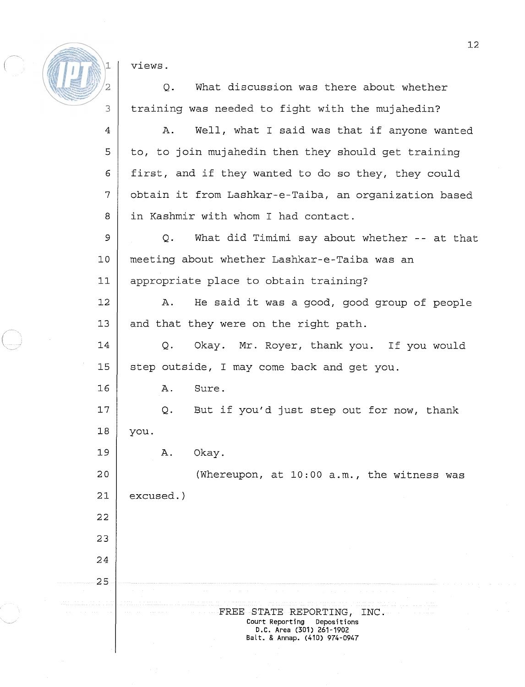views.

Q. What discussion was there about whether training was needed to fight with the mujahedin?

 $\overline{4}$ A. Well, what I said was that if anyone wanted 5 to, to join mujahedin then they should get training first, and if they wanted to do so they, they could 6 7 obtain it from Lashkar-e-Taiba, an organization based in Kashmir with whom I had contact. 8 9 Q. What did Timimi say about whether -- at that  $10$ meeting about whether Lashkar-e-Taiba was an  $11$ appropriate place to obtain training? A. He said it was a good, good group of people  $12$  $13$ and that they were on the right path. 14 Q. Okay. Mr. Royer, thank you. If you would 15 step outside, I may come back and get you.  $16$ A. Sure.  $17$ Q. But if you'd just step out for now, thank  $18$ you. 19 A. Okay.  $20$ (Whereupon, at 10:OO a.m., the witness was  $2.1$ excused. 22 23 24 25

FREE STATE REPORTING, INC. Court Reporting Depositions D.C. Area (301) 261-1902 Balt. & Annap. (410) 974-0947